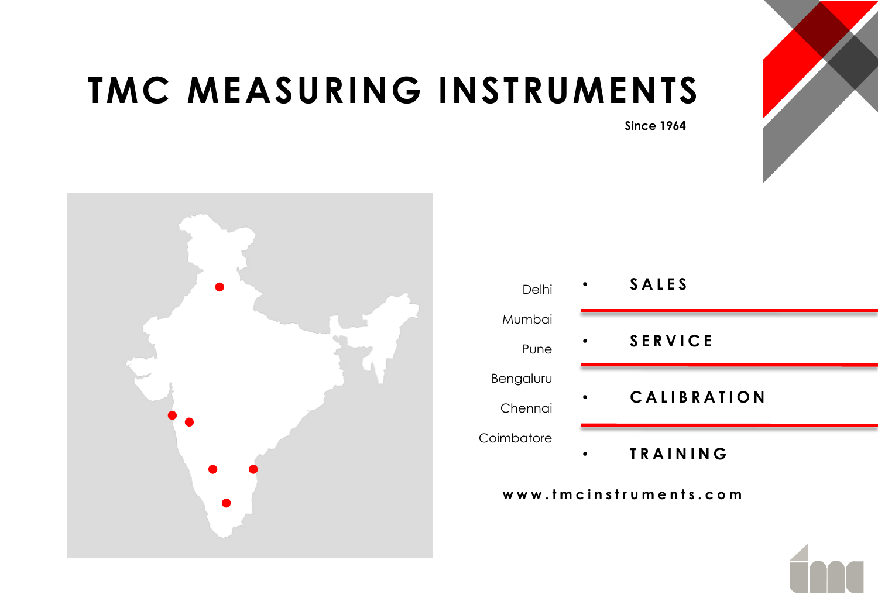# **TMC MEASURING INSTRUMENTS**





| Delhi      |           | <b>SALES</b>       |
|------------|-----------|--------------------|
| Mumbai     |           |                    |
| Pune       | $\bullet$ | <b>SERVICE</b>     |
| Bengaluru  |           |                    |
| Chennai    | ٠         | <b>CALIBRATION</b> |
| Coimbatore |           | <b>TRAINING</b>    |

**w w w . t m c i n s t r u m e n t s . c o m**

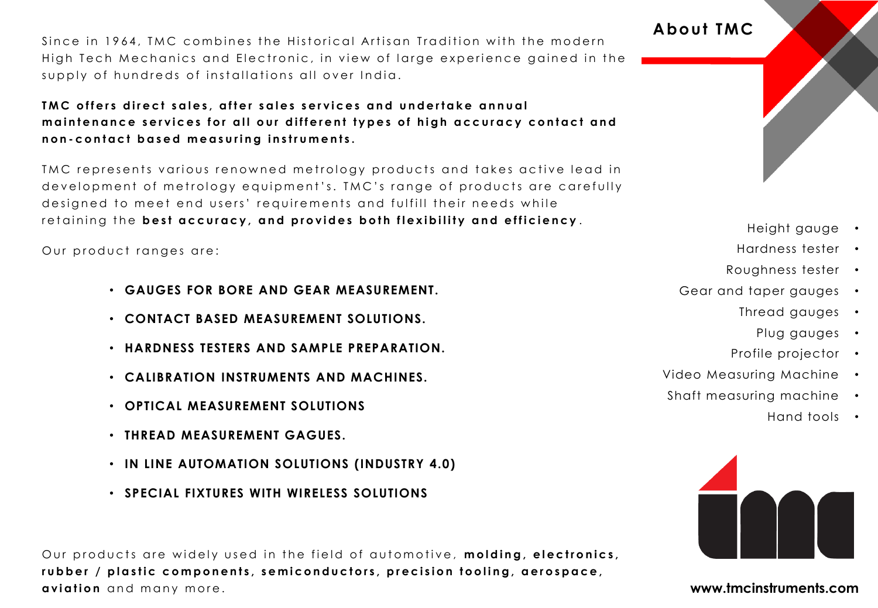Since in 1964, TMC combines the Historical Artisan Tradition with the modern High Tech Mechanics and Electronic, in view of large experience gained in the supply of hundreds of installations all over India.

#### TMC offers direct sales, after sales services and undertake annual maintenance services for all our different types of high accuracy contact and **n o n - c o n t a c t b a s e d m e a s u r i n g i n s t r u m e n t s .**

TMC represents various renowned metrology products and takes active lead in development of metrology equipment's. TMC's range of products are carefully designed to meet end users' requirements and fulfill their needs while retaining the best accuracy, and provides both flexibility and efficiency.

Our product ranges are:

- **GAUGES FOR BORE AND GEAR MEASUREMENT.**
- **CONTACT BASED MEASUREMENT SOLUTIONS.**
- **HARDNESS TESTERS AND SAMPLE PREPARATION.**
- **CALIBRATION INSTRUMENTS AND MACHINES.**
- **OPTICAL MEASUREMENT SOLUTIONS**
- **THREAD MEASUREMENT GAGUES.**
- **IN LINE AUTOMATION SOLUTIONS (INDUSTRY 4.0)**
- **SPECIAL FIXTURES WITH WIRELESS SOLUTIONS**

Our products are widely used in the field of automotive, **molding, electronics**, rubber / plastic components, semiconductors, precision tooling, aerospace, **aviation** and many more. **www.tmcinstruments.com** 

# **About TMC**

### Height gauge •

- Hardness tester •
- Roughness tester •
- Gear and taper gauges
	- Thread gauges
		- Plug gauges •
	- Profile projector •
- Video Measuring Machine •
- Shaft measuring machine
	- Hand tools •

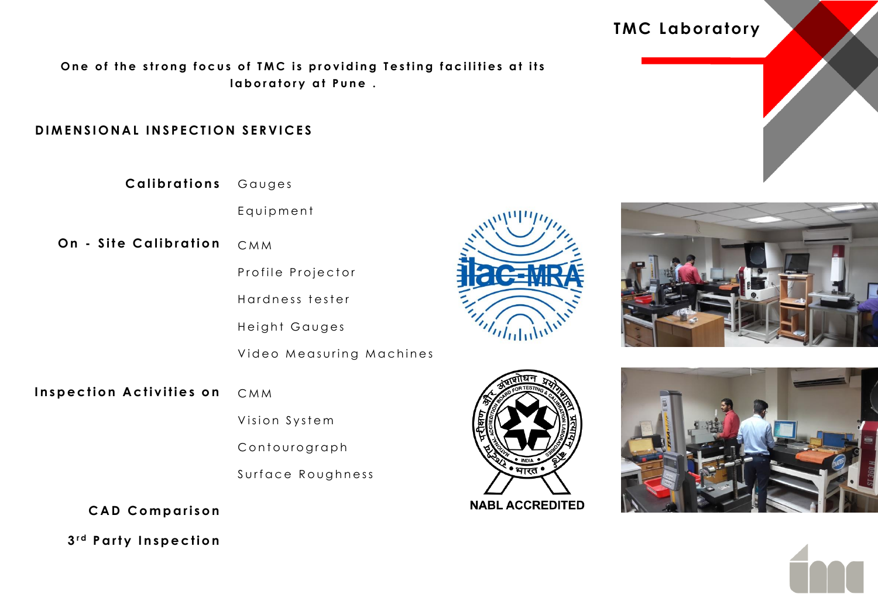One of the strong focus of TMC is providing Testing facilities at its Iaboratory at Pune .

#### **DIMENSIONAL INSPECTION SERVICES**

**C a l i b r a t i o n s** Gauges

Equipment

- **On Site Calibration** C M M
	- Profile Projector

Hardness tester

Height Gauges

Video Measuring Machines

**Inspection Activities on** C M M

Vision System

Contourograph

Surface Roughness

**C A D C o m p a r i s o n**

**3 r d P a r t y I n s p e c t i o n**





 $n_{\rm thth}$ 







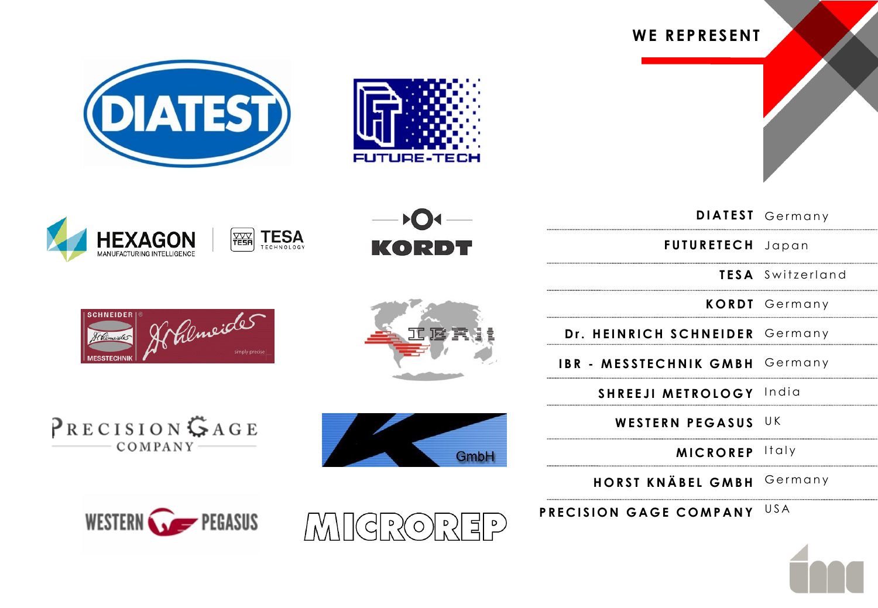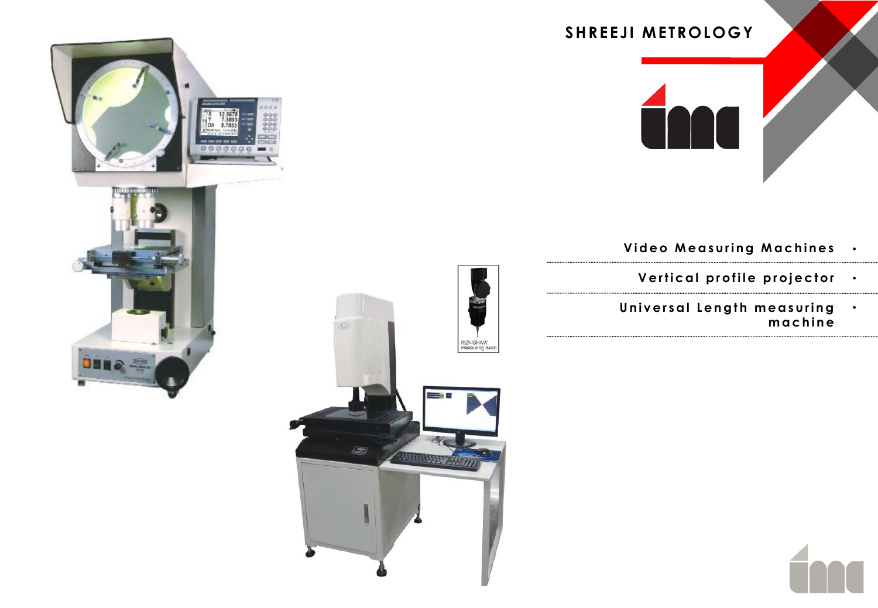

- **Video Measuring Machines** •
	- **Vertical profile projector**
- Universal Length measuring **m a c h i n e** •





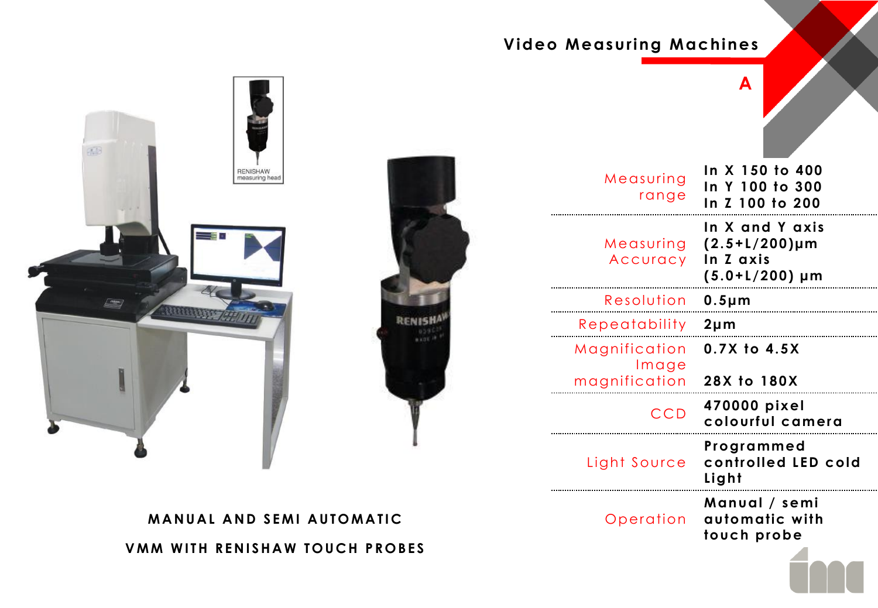# **Video Measuring Machines**





| Measuring<br>range                      | In X 150 to 400<br>In Y 100 to 300<br>In Z 100 to 200                   |
|-----------------------------------------|-------------------------------------------------------------------------|
| Measuring<br>Accuracy                   | In X and Y axis<br>$(2.5+L/200)$ µm<br>In Z axis<br>$(5.0+L/200) \mu m$ |
| Resolution                              | $0.5 \mu m$                                                             |
| Repeatability                           | $2 \mu m$                                                               |
| Magnification<br>Image<br>magnification | 0.7X to 4.5X<br>28X to 180X                                             |
| <b>CCD</b>                              | 470000 pixel<br>colourful camera                                        |
| Light Source                            | Programmed<br>controlled LED cold<br>Light                              |
| Operation                               | Manual / semi<br>automatic with<br>touch probe                          |
|                                         |                                                                         |

**A**

**VMM WITH RENISHAW TOUCH PROBES MANUAL AND SEMI AUTOMATIC**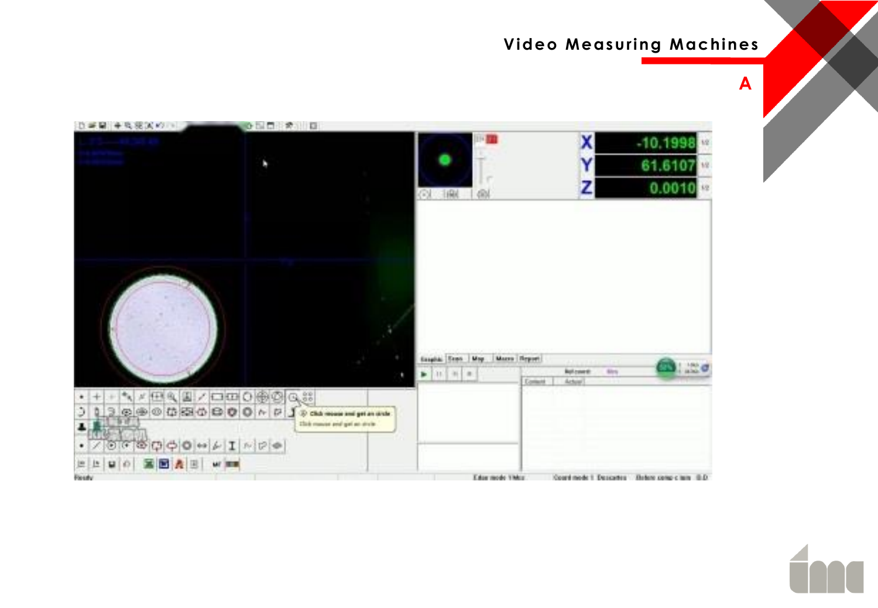## **Video Measuring Machines**

**A**

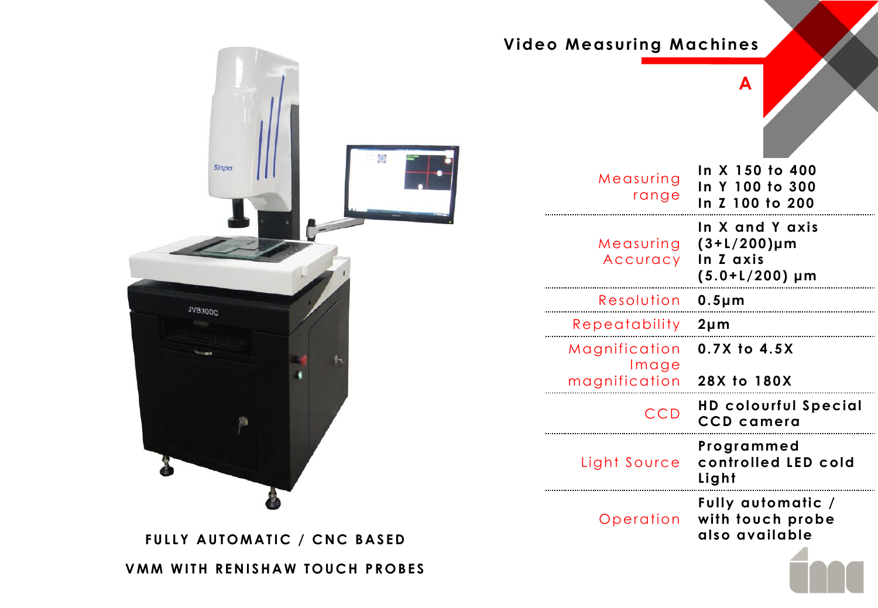

| Measuring<br>range     | In X 150 to 400<br>In Y 100 to 300<br>In Z 100 to 200                 |
|------------------------|-----------------------------------------------------------------------|
| Measuring<br>Accuracy  | In X and Y axis<br>$(3+L/200) \mu m$<br>In Z axis<br>$(5.0+L/200)$ µm |
| Resolution             | $0.5 \mu m$                                                           |
| Repeatability          | $2 \mu m$                                                             |
| Magnification<br>Image | 0.7X to 4.5X                                                          |
| magnification          | 28X to 180X                                                           |
| CCD                    | <b>HD colourful Special</b><br><b>CCD</b> camera                      |
| Light Source           | Programmed<br>controlled LED cold<br>Light                            |
| Operation              | Fully automatic /<br>with touch probe<br>also available               |
|                        |                                                                       |

**A**

**Video Measuring Machines**

**VMM WITH RENISHAW TOUCH PROBES**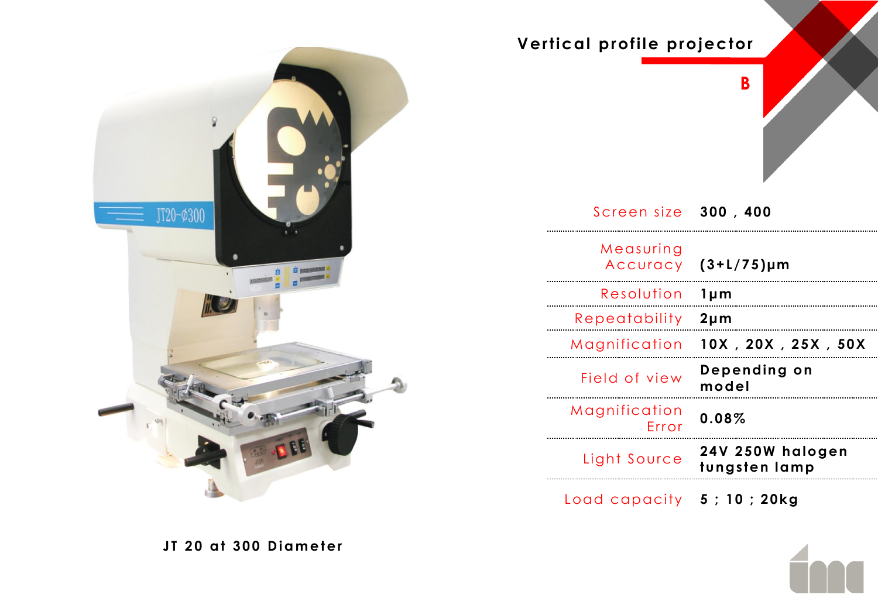

| Vertical profile projector  | B                                 |
|-----------------------------|-----------------------------------|
| Screen size 300, 400        |                                   |
| Measuring<br>Accuracy       | $(3+L/75)\mu m$                   |
| Resolution                  | $1 \mu m$                         |
| Repeatability               | $2 \mu m$                         |
| Magnification               | 10X, 20X, 25X, 50X                |
| Field of view               | Depending on<br>model             |
| Magnification<br>Error      | 0.08%                             |
| Light Source                | 24V 250W halogen<br>tungsten lamp |
| Load capacity 5 ; 10 ; 20kg |                                   |

**JT 20 at 300 Diameter**

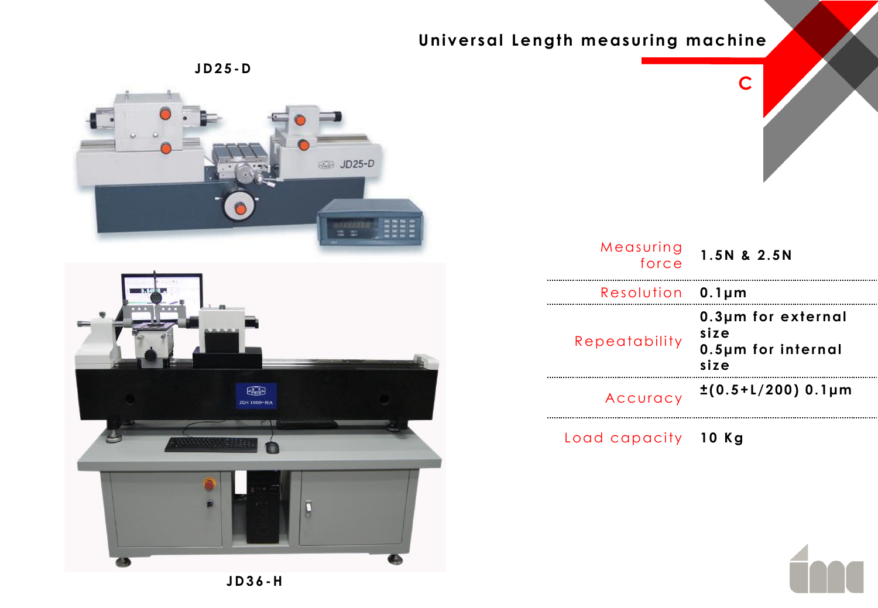# **Universal Length measuring machine**







| Measuring<br>force | 1.5N & 2.5N                                              |
|--------------------|----------------------------------------------------------|
| Resolution         | $0.1 \mu m$                                              |
| Repeatability      | 0.3µm for external<br>size<br>0.5µm for internal<br>size |
| Accuracy           | $\pm (0.5 + 1/200)$ 0.1µm                                |

**C**

Load capacity **10 Kg**

**JD36 -H**